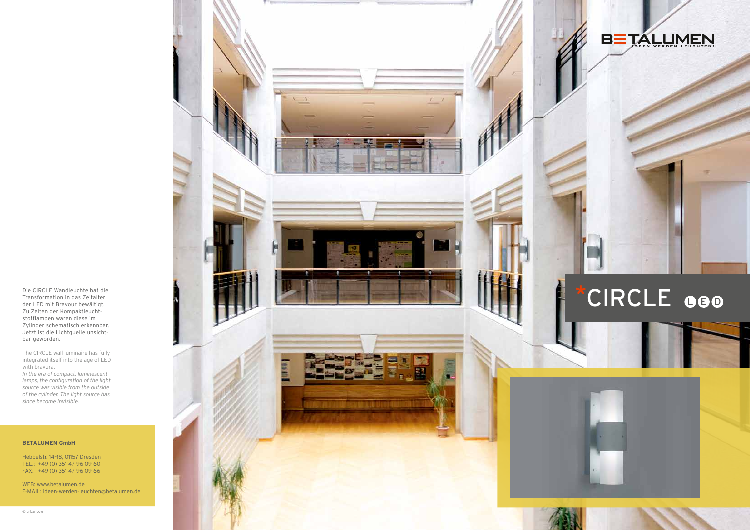Die CIRCLE Wandleuchte hat die Transformation in das Zeitalter der LED mit Bravour bewältigt. Zu Zeiten der Kompaktleucht stofflampen waren diese im Zylinder schematisch erkennbar. Jetzt ist die Lichtquelle unsicht bar geworden.

The CIRCLE wall luminaire has fully integrated itself into the age of LED with bravura.

*In the era of compact, luminescent lamps, the configuration of the light source was visible from the outside of the cylinder. The light source has since become invisible.*

#### **BETALUMEN GmbH**

Hebbelstr. 14–18, 01157 Dresden TEL.: +49 (0) 351 47 96 09 60 FAX: +49 (0) 351 47 96 09 66

WEB: www.betalumen.de E-MAIL: ideen-werden-leuchten @betalumen.de